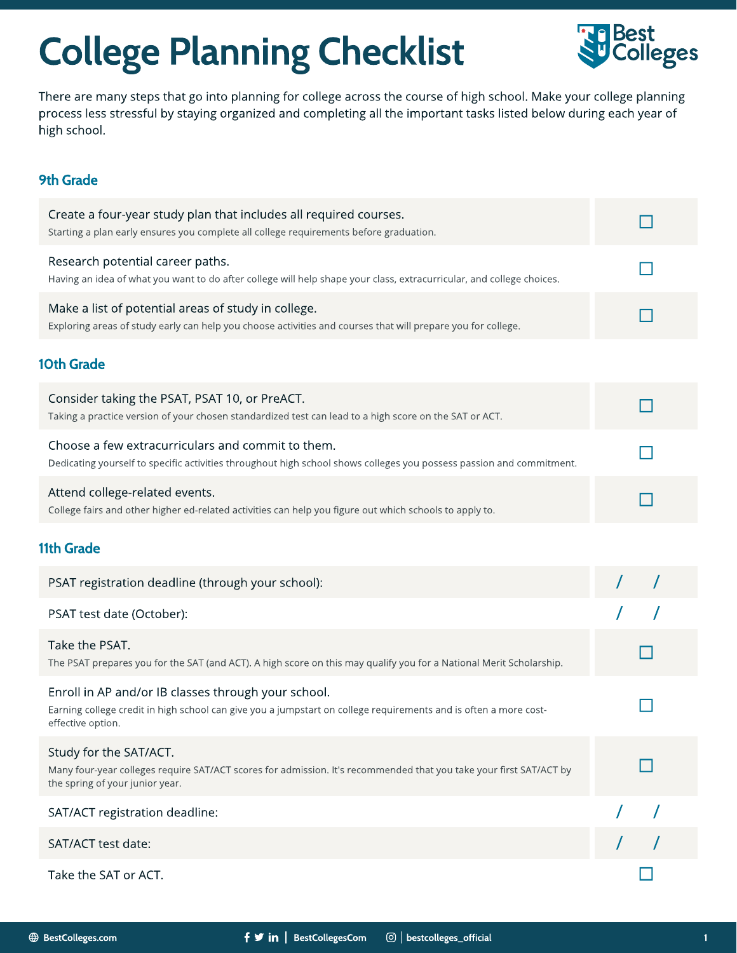## College Planning Checklist



There are many steps that go into planning for college across the course of high school. Make your college planning process less stressful by staying organized and completing all the important tasks listed below during each year of high school.

## 9th Grade

| Create a four-year study plan that includes all required courses.<br>Starting a plan early ensures you complete all college requirements before graduation.                                  |  |
|----------------------------------------------------------------------------------------------------------------------------------------------------------------------------------------------|--|
| Research potential career paths.<br>Having an idea of what you want to do after college will help shape your class, extracurricular, and college choices.                                    |  |
| Make a list of potential areas of study in college.<br>Exploring areas of study early can help you choose activities and courses that will prepare you for college.                          |  |
| <b>10th Grade</b>                                                                                                                                                                            |  |
| Consider taking the PSAT, PSAT 10, or PreACT.<br>Taking a practice version of your chosen standardized test can lead to a high score on the SAT or ACT.                                      |  |
| Choose a few extracurriculars and commit to them.<br>Dedicating yourself to specific activities throughout high school shows colleges you possess passion and commitment.                    |  |
| Attend college-related events.<br>College fairs and other higher ed-related activities can help you figure out which schools to apply to.                                                    |  |
| <b>11th Grade</b>                                                                                                                                                                            |  |
| PSAT registration deadline (through your school):                                                                                                                                            |  |
| PSAT test date (October):                                                                                                                                                                    |  |
| Take the PSAT.<br>The PSAT prepares you for the SAT (and ACT). A high score on this may qualify you for a National Merit Scholarship.                                                        |  |
| Enroll in AP and/or IB classes through your school.<br>Earning college credit in high school can give you a jumpstart on college requirements and is often a more cost-<br>effective option. |  |
| Study for the SAT/ACT.<br>Many four-year colleges require SAT/ACT scores for admission. It's recommended that you take your first SAT/ACT by<br>the spring of your junior year.              |  |
| SAT/ACT registration deadline:                                                                                                                                                               |  |
| SAT/ACT test date:                                                                                                                                                                           |  |
| Take the SAT or ACT.                                                                                                                                                                         |  |